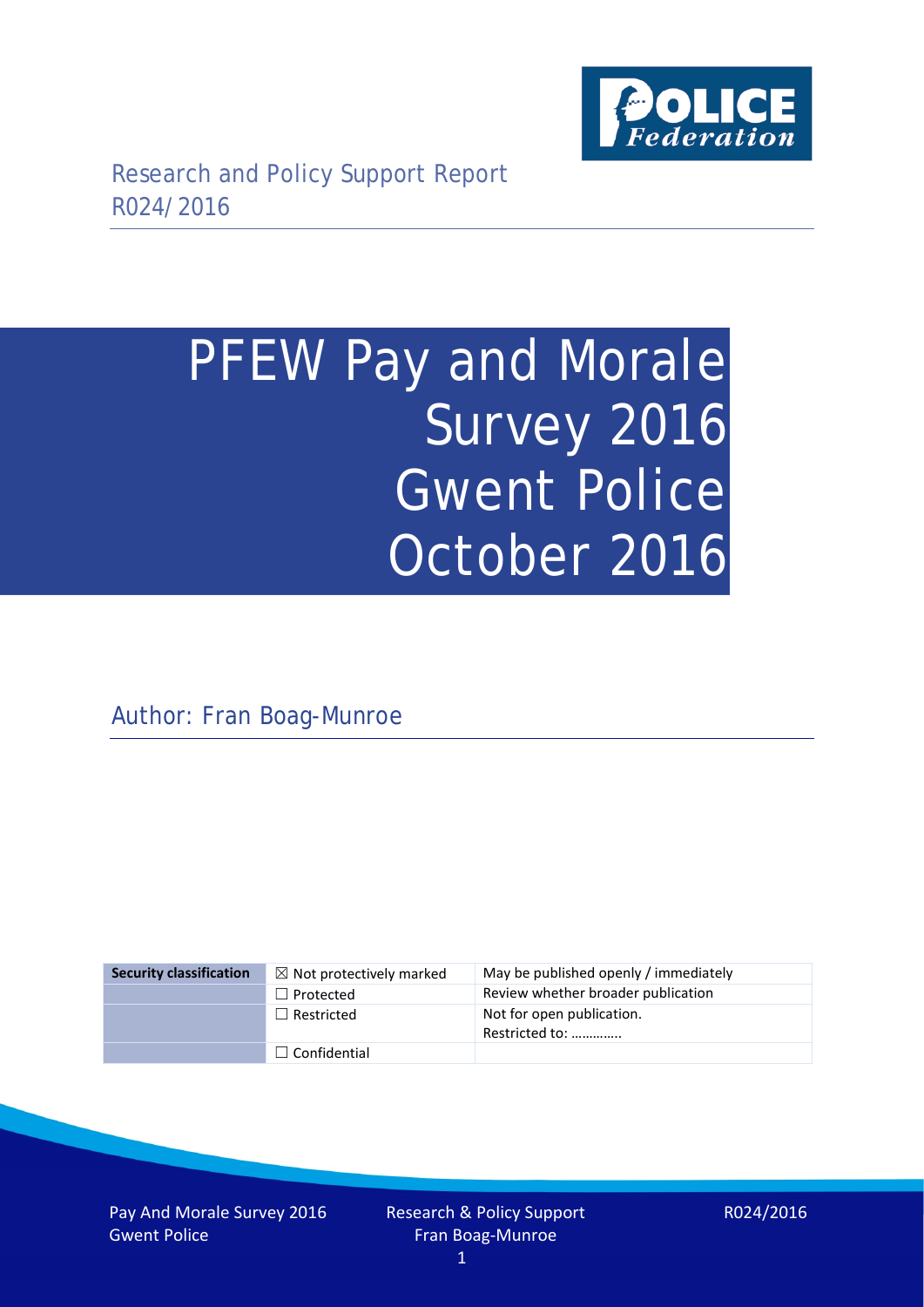

# PFEW Pay and Morale Survey 2016 Gwent Police October 2016

Author: Fran Boag-Munroe

| <b>Security classification</b> | $\boxtimes$ Not protectively marked | May be published openly / immediately       |
|--------------------------------|-------------------------------------|---------------------------------------------|
|                                | $\Box$ Protected                    | Review whether broader publication          |
|                                | $\Box$ Restricted                   | Not for open publication.<br>Restricted to: |
|                                | $\Box$ Confidential                 |                                             |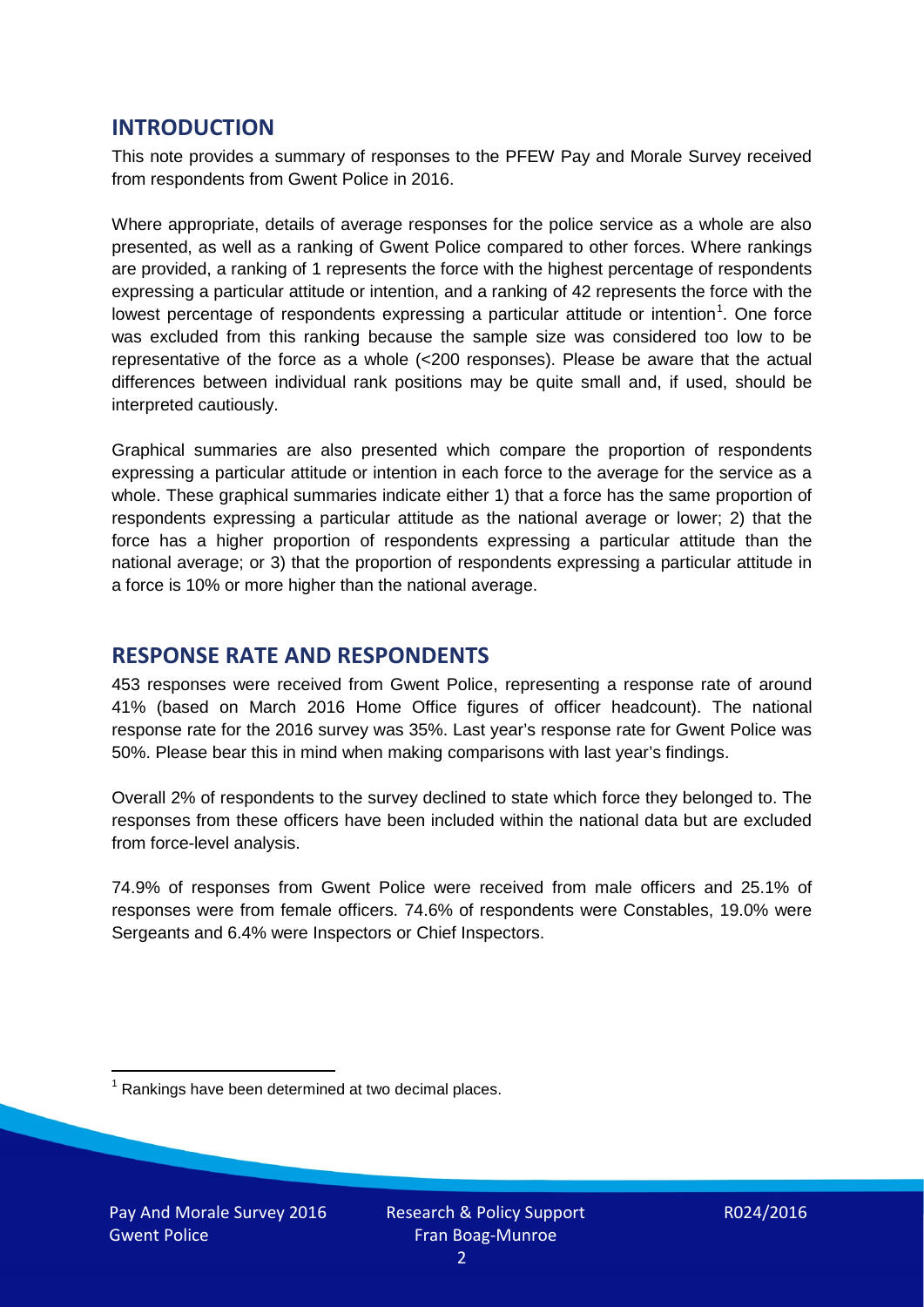### **INTRODUCTION**

This note provides a summary of responses to the PFEW Pay and Morale Survey received from respondents from Gwent Police in 2016.

Where appropriate, details of average responses for the police service as a whole are also presented, as well as a ranking of Gwent Police compared to other forces. Where rankings are provided, a ranking of 1 represents the force with the highest percentage of respondents expressing a particular attitude or intention, and a ranking of 42 represents the force with the lowest percentage of respondents expressing a particular attitude or intention<sup>[1](#page-1-0)</sup>. One force was excluded from this ranking because the sample size was considered too low to be representative of the force as a whole (<200 responses). Please be aware that the actual differences between individual rank positions may be quite small and, if used, should be interpreted cautiously.

Graphical summaries are also presented which compare the proportion of respondents expressing a particular attitude or intention in each force to the average for the service as a whole. These graphical summaries indicate either 1) that a force has the same proportion of respondents expressing a particular attitude as the national average or lower; 2) that the force has a higher proportion of respondents expressing a particular attitude than the national average; or 3) that the proportion of respondents expressing a particular attitude in a force is 10% or more higher than the national average.

# **RESPONSE RATE AND RESPONDENTS**

453 responses were received from Gwent Police, representing a response rate of around 41% (based on March 2016 Home Office figures of officer headcount). The national response rate for the 2016 survey was 35%. Last year's response rate for Gwent Police was 50%. Please bear this in mind when making comparisons with last year's findings.

Overall 2% of respondents to the survey declined to state which force they belonged to. The responses from these officers have been included within the national data but are excluded from force-level analysis.

74.9% of responses from Gwent Police were received from male officers and 25.1% of responses were from female officers. 74.6% of respondents were Constables, 19.0% were Sergeants and 6.4% were Inspectors or Chief Inspectors.

<span id="page-1-0"></span> $1$  Rankings have been determined at two decimal places.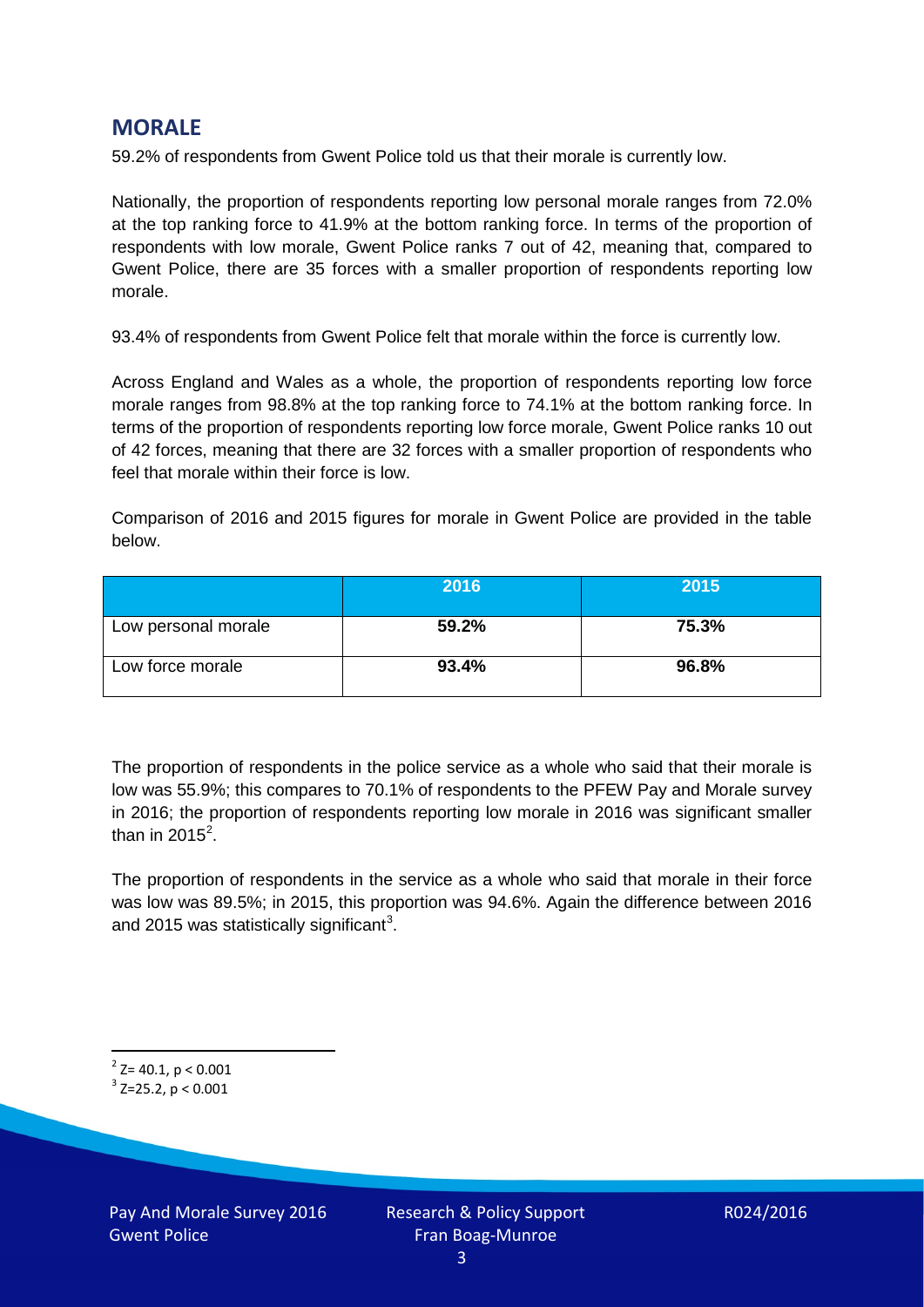# **MORALE**

59.2% of respondents from Gwent Police told us that their morale is currently low.

Nationally, the proportion of respondents reporting low personal morale ranges from 72.0% at the top ranking force to 41.9% at the bottom ranking force. In terms of the proportion of respondents with low morale, Gwent Police ranks 7 out of 42, meaning that, compared to Gwent Police, there are 35 forces with a smaller proportion of respondents reporting low morale.

93.4% of respondents from Gwent Police felt that morale within the force is currently low.

Across England and Wales as a whole, the proportion of respondents reporting low force morale ranges from 98.8% at the top ranking force to 74.1% at the bottom ranking force. In terms of the proportion of respondents reporting low force morale, Gwent Police ranks 10 out of 42 forces, meaning that there are 32 forces with a smaller proportion of respondents who feel that morale within their force is low.

Comparison of 2016 and 2015 figures for morale in Gwent Police are provided in the table below.

|                     | 2016  | 2015  |
|---------------------|-------|-------|
| Low personal morale | 59.2% | 75.3% |
| Low force morale    | 93.4% | 96.8% |

The proportion of respondents in the police service as a whole who said that their morale is low was 55.9%; this compares to 70.1% of respondents to the PFEW Pay and Morale survey in 2016; the proportion of respondents reporting low morale in 2016 was significant smaller than in [2](#page-2-0)015 $^2$ .

The proportion of respondents in the service as a whole who said that morale in their force was low was 89.5%; in 2015, this proportion was 94.6%. Again the difference between 2016 and 2015 was statistically significant<sup>[3](#page-2-1)</sup>.

<span id="page-2-0"></span> $2$ <sup>2</sup> Z= 40.1, p < 0.001

<span id="page-2-1"></span> $3$  Z=25.2, p < 0.001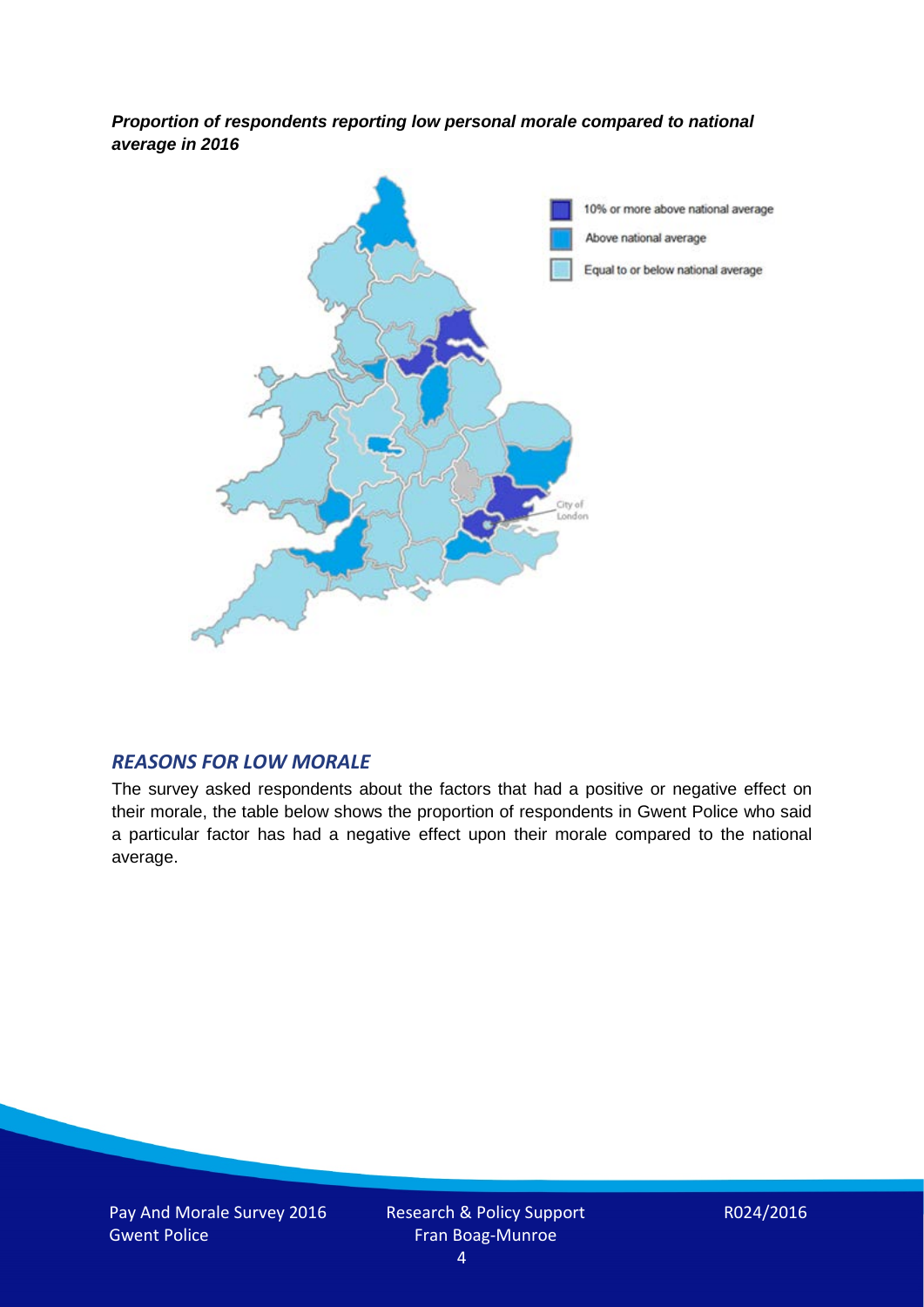*Proportion of respondents reporting low personal morale compared to national average in 2016*



#### *REASONS FOR LOW MORALE*

The survey asked respondents about the factors that had a positive or negative effect on their morale, the table below shows the proportion of respondents in Gwent Police who said a particular factor has had a negative effect upon their morale compared to the national average.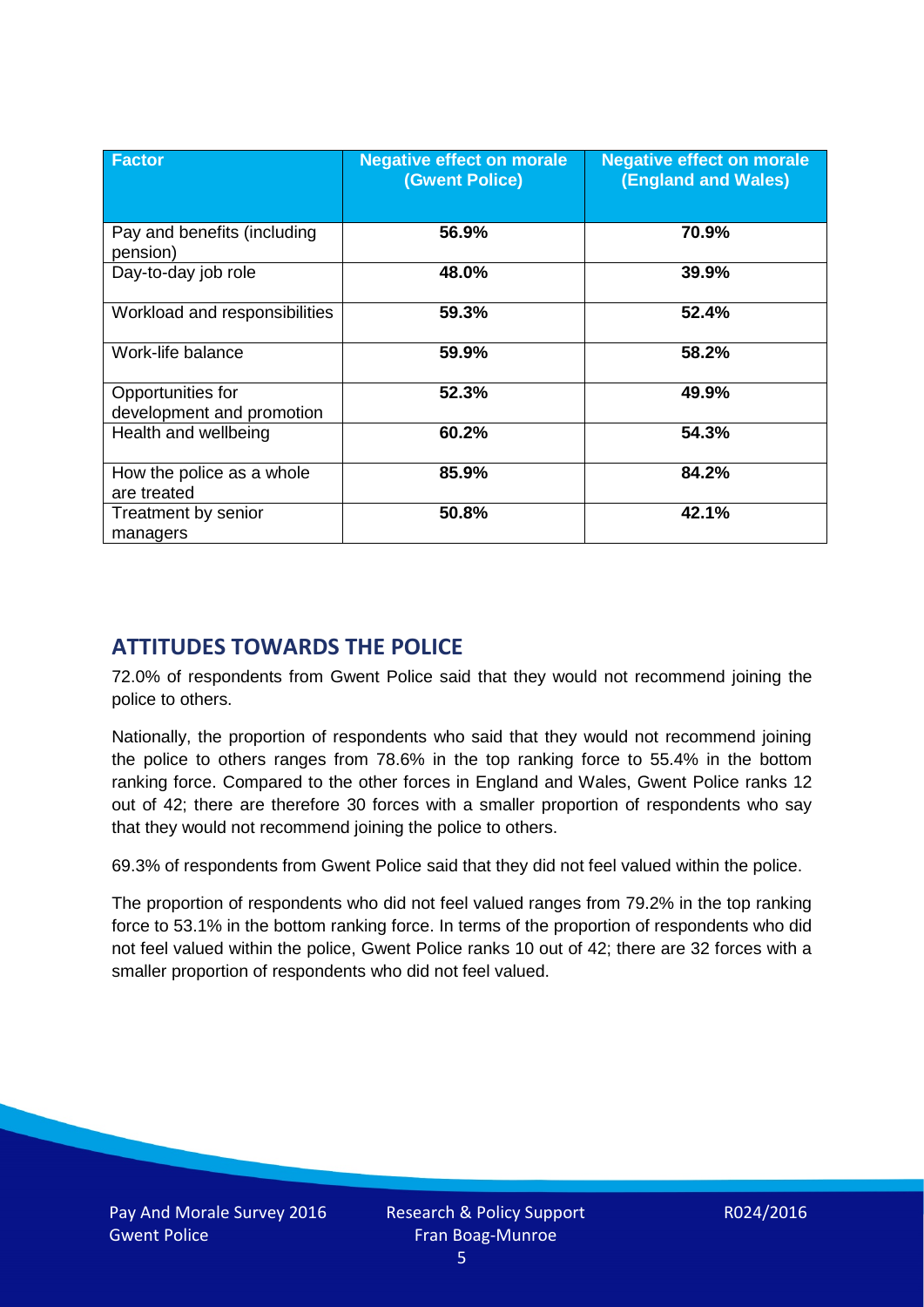| <b>Factor</b>                                  | <b>Negative effect on morale</b><br>(Gwent Police) | <b>Negative effect on morale</b><br><b>(England and Wales)</b> |
|------------------------------------------------|----------------------------------------------------|----------------------------------------------------------------|
| Pay and benefits (including<br>pension)        | 56.9%                                              | 70.9%                                                          |
| Day-to-day job role                            | 48.0%                                              | 39.9%                                                          |
| Workload and responsibilities                  | 59.3%                                              | 52.4%                                                          |
| Work-life balance                              | 59.9%                                              | 58.2%                                                          |
| Opportunities for<br>development and promotion | 52.3%                                              | 49.9%                                                          |
| Health and wellbeing                           | 60.2%                                              | 54.3%                                                          |
| How the police as a whole<br>are treated       | 85.9%                                              | 84.2%                                                          |
| Treatment by senior<br>managers                | 50.8%                                              | 42.1%                                                          |

# **ATTITUDES TOWARDS THE POLICE**

72.0% of respondents from Gwent Police said that they would not recommend joining the police to others.

Nationally, the proportion of respondents who said that they would not recommend joining the police to others ranges from 78.6% in the top ranking force to 55.4% in the bottom ranking force. Compared to the other forces in England and Wales, Gwent Police ranks 12 out of 42; there are therefore 30 forces with a smaller proportion of respondents who say that they would not recommend joining the police to others.

69.3% of respondents from Gwent Police said that they did not feel valued within the police.

The proportion of respondents who did not feel valued ranges from 79.2% in the top ranking force to 53.1% in the bottom ranking force. In terms of the proportion of respondents who did not feel valued within the police, Gwent Police ranks 10 out of 42; there are 32 forces with a smaller proportion of respondents who did not feel valued.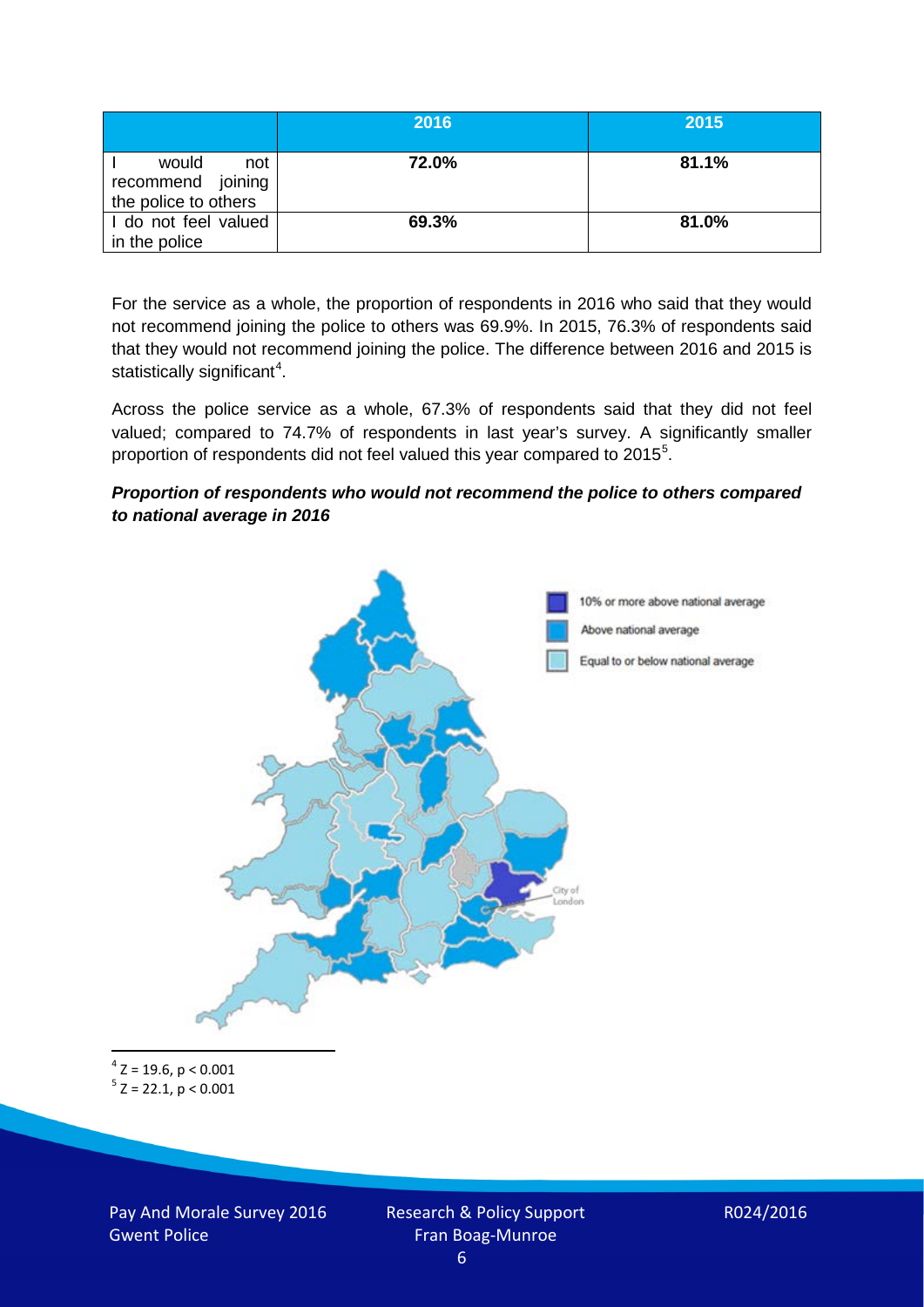|                                                           | 2016  | 2015  |
|-----------------------------------------------------------|-------|-------|
| would<br>not<br>recommend joining<br>the police to others | 72.0% | 81.1% |
| I do not feel valued<br>in the police                     | 69.3% | 81.0% |

For the service as a whole, the proportion of respondents in 2016 who said that they would not recommend joining the police to others was 69.9%. In 2015, 76.3% of respondents said that they would not recommend joining the police. The difference between 2016 and 2015 is statistically significant<sup>[4](#page-5-0)</sup>.

Across the police service as a whole, 67.3% of respondents said that they did not feel valued; compared to 74.7% of respondents in last year's survey. A significantly smaller proportion of respondents did not feel valued this year compared to 201[5](#page-5-1)<sup>5</sup>.

#### *Proportion of respondents who would not recommend the police to others compared to national average in 2016*



<span id="page-5-1"></span><span id="page-5-0"></span> $4$  Z = 19.6, p < 0.001  $5$  Z = 22.1, p < 0.001

Pay And Morale Survey 2016 Gwent Police

Research & Policy Support Fran Boag-Munroe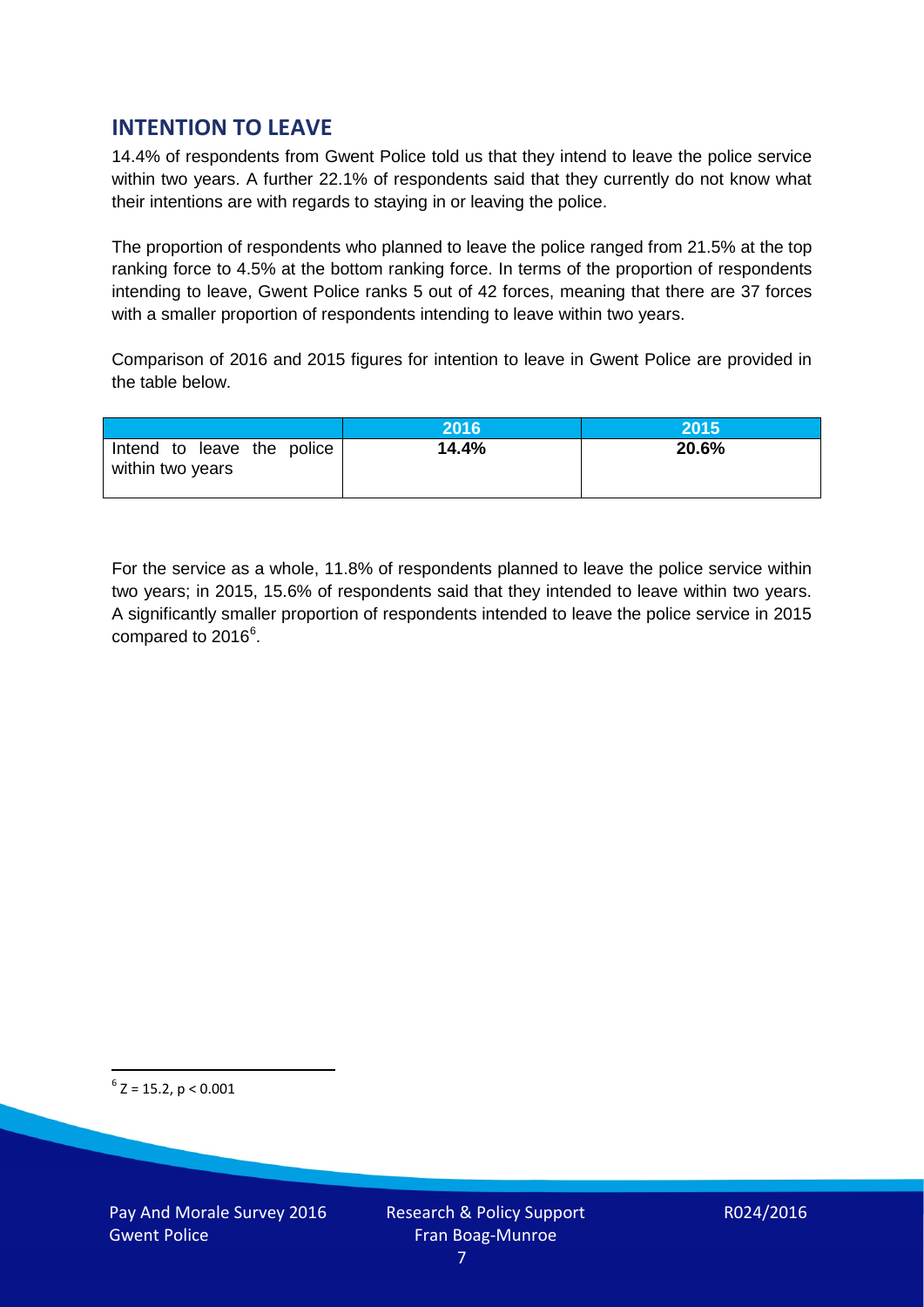# **INTENTION TO LEAVE**

14.4% of respondents from Gwent Police told us that they intend to leave the police service within two years. A further 22.1% of respondents said that they currently do not know what their intentions are with regards to staying in or leaving the police.

The proportion of respondents who planned to leave the police ranged from 21.5% at the top ranking force to 4.5% at the bottom ranking force. In terms of the proportion of respondents intending to leave, Gwent Police ranks 5 out of 42 forces, meaning that there are 37 forces with a smaller proportion of respondents intending to leave within two years.

Comparison of 2016 and 2015 figures for intention to leave in Gwent Police are provided in the table below.

|                                                | 2016  | 2015  |
|------------------------------------------------|-------|-------|
| Intend to leave the police<br>within two years | 14.4% | 20.6% |

For the service as a whole, 11.8% of respondents planned to leave the police service within two years; in 2015, 15.6% of respondents said that they intended to leave within two years. A significantly smaller proportion of respondents intended to leave the police service in 2015 compared to 201[6](#page-6-0)<sup>6</sup>.

<span id="page-6-0"></span> $6$  Z = 15.2, p < 0.001

Pay And Morale Survey 2016 Gwent Police

Research & Policy Support Fran Boag-Munroe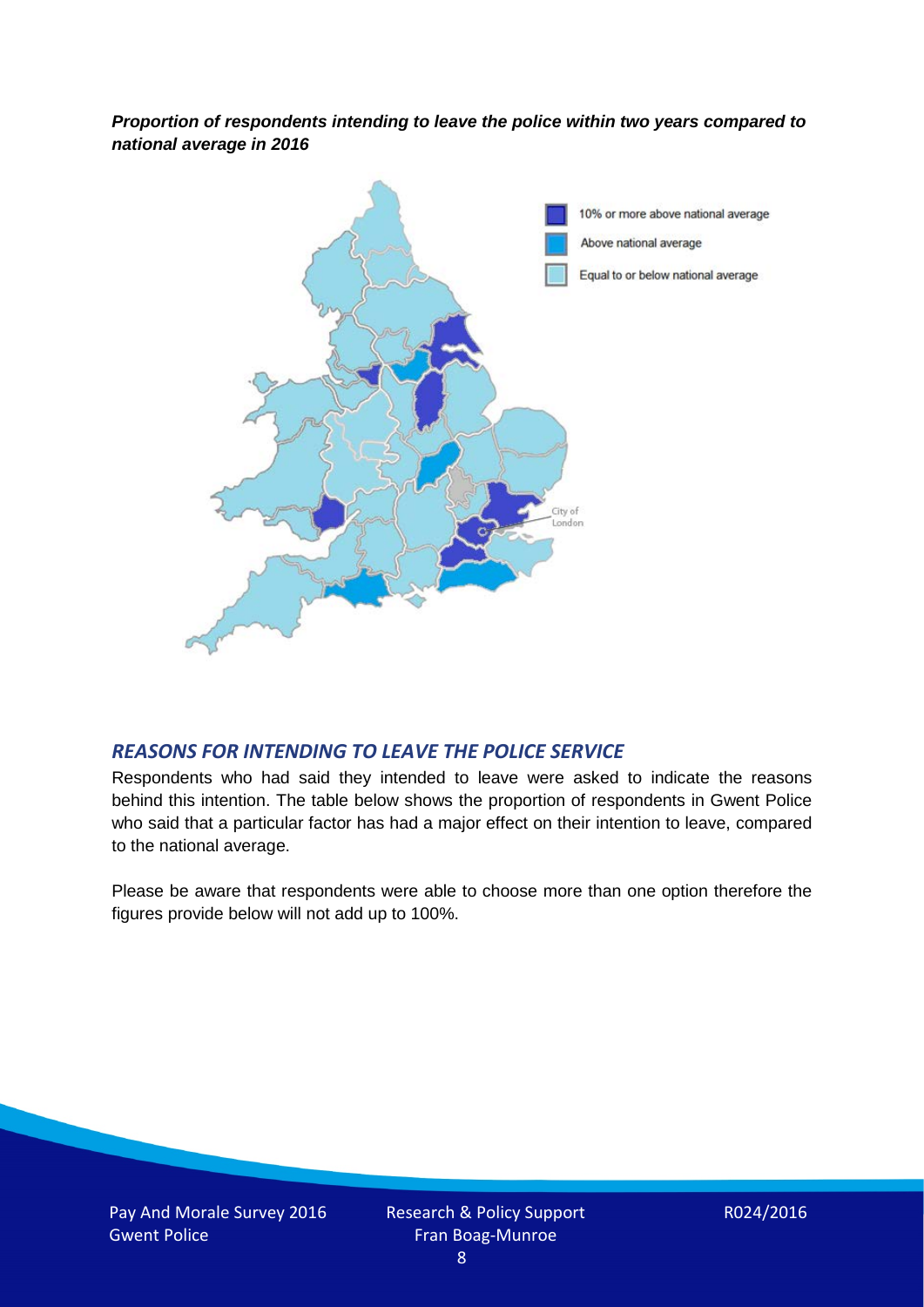*Proportion of respondents intending to leave the police within two years compared to national average in 2016*



# *REASONS FOR INTENDING TO LEAVE THE POLICE SERVICE*

Respondents who had said they intended to leave were asked to indicate the reasons behind this intention. The table below shows the proportion of respondents in Gwent Police who said that a particular factor has had a major effect on their intention to leave, compared to the national average.

Please be aware that respondents were able to choose more than one option therefore the figures provide below will not add up to 100%.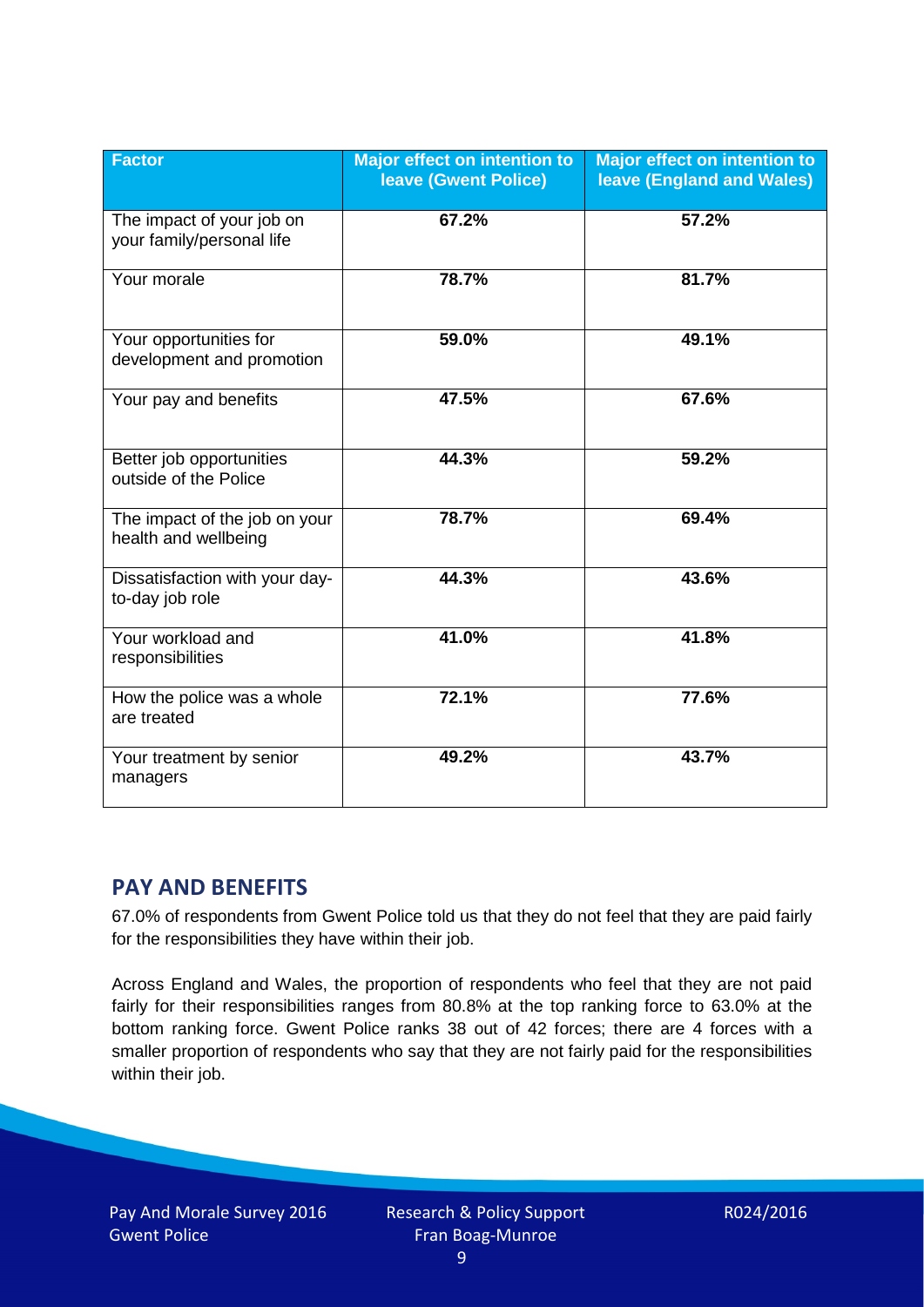| <b>Factor</b>                                          | <b>Major effect on intention to</b><br><b>leave (Gwent Police)</b> | <b>Major effect on intention to</b><br><b>leave (England and Wales)</b> |
|--------------------------------------------------------|--------------------------------------------------------------------|-------------------------------------------------------------------------|
| The impact of your job on<br>your family/personal life | 67.2%                                                              | 57.2%                                                                   |
| Your morale                                            | 78.7%                                                              | 81.7%                                                                   |
| Your opportunities for<br>development and promotion    | 59.0%                                                              | 49.1%                                                                   |
| Your pay and benefits                                  | 47.5%                                                              | 67.6%                                                                   |
| Better job opportunities<br>outside of the Police      | 44.3%                                                              | 59.2%                                                                   |
| The impact of the job on your<br>health and wellbeing  | 78.7%                                                              | 69.4%                                                                   |
| Dissatisfaction with your day-<br>to-day job role      | 44.3%                                                              | 43.6%                                                                   |
| Your workload and<br>responsibilities                  | 41.0%                                                              | 41.8%                                                                   |
| How the police was a whole<br>are treated              | 72.1%                                                              | 77.6%                                                                   |
| Your treatment by senior<br>managers                   | 49.2%                                                              | 43.7%                                                                   |

# **PAY AND BENEFITS**

67.0% of respondents from Gwent Police told us that they do not feel that they are paid fairly for the responsibilities they have within their job.

Across England and Wales, the proportion of respondents who feel that they are not paid fairly for their responsibilities ranges from 80.8% at the top ranking force to 63.0% at the bottom ranking force. Gwent Police ranks 38 out of 42 forces; there are 4 forces with a smaller proportion of respondents who say that they are not fairly paid for the responsibilities within their job.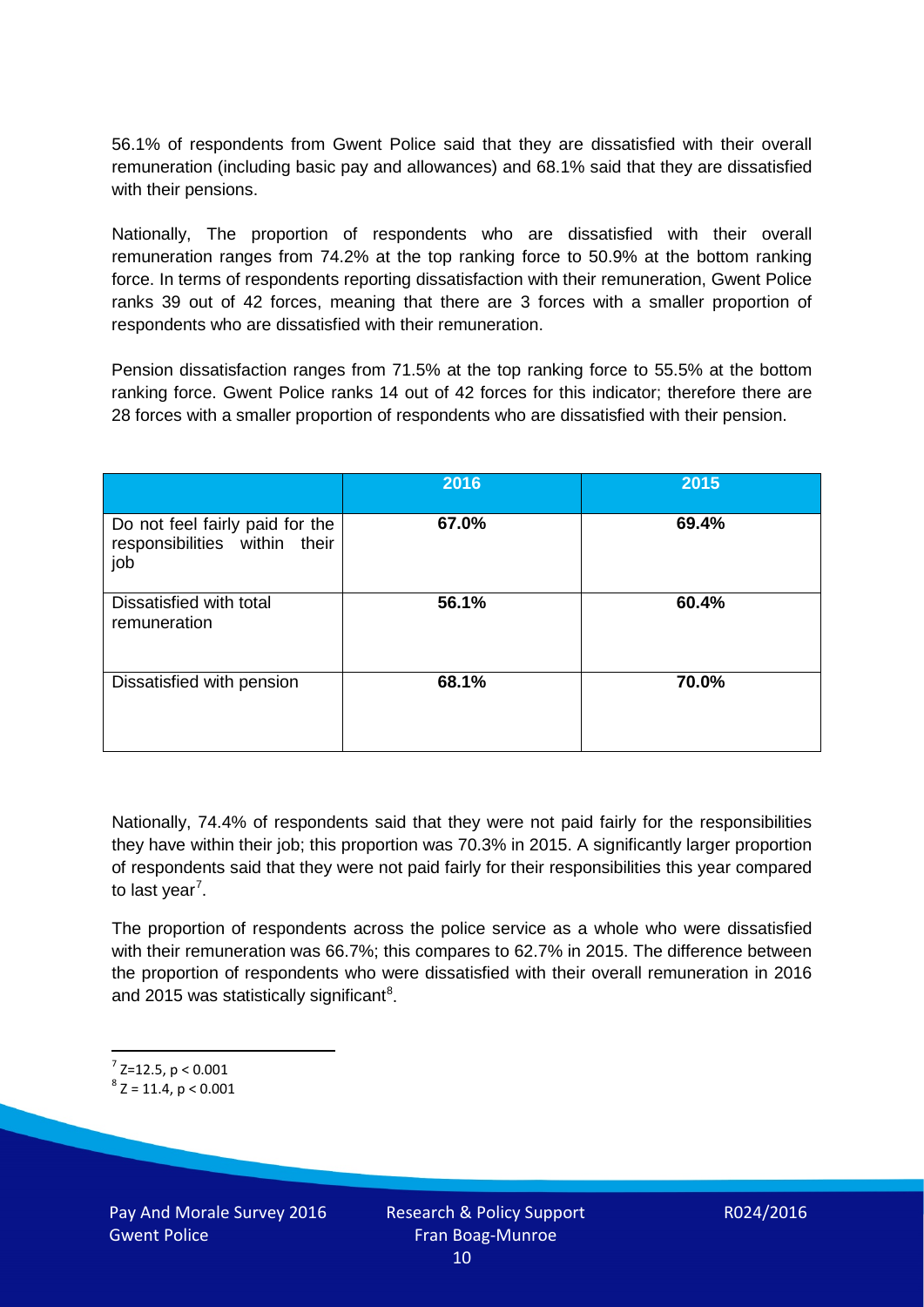56.1% of respondents from Gwent Police said that they are dissatisfied with their overall remuneration (including basic pay and allowances) and 68.1% said that they are dissatisfied with their pensions.

Nationally, The proportion of respondents who are dissatisfied with their overall remuneration ranges from 74.2% at the top ranking force to 50.9% at the bottom ranking force. In terms of respondents reporting dissatisfaction with their remuneration, Gwent Police ranks 39 out of 42 forces, meaning that there are 3 forces with a smaller proportion of respondents who are dissatisfied with their remuneration.

Pension dissatisfaction ranges from 71.5% at the top ranking force to 55.5% at the bottom ranking force. Gwent Police ranks 14 out of 42 forces for this indicator; therefore there are 28 forces with a smaller proportion of respondents who are dissatisfied with their pension.

|                                                                         | 2016  | 2015  |
|-------------------------------------------------------------------------|-------|-------|
| Do not feel fairly paid for the<br>responsibilities within their<br>job | 67.0% | 69.4% |
| Dissatisfied with total<br>remuneration                                 | 56.1% | 60.4% |
| Dissatisfied with pension                                               | 68.1% | 70.0% |

Nationally, 74.4% of respondents said that they were not paid fairly for the responsibilities they have within their job; this proportion was 70.3% in 2015. A significantly larger proportion of respondents said that they were not paid fairly for their responsibilities this year compared to last year<sup>[7](#page-9-0)</sup>.

The proportion of respondents across the police service as a whole who were dissatisfied with their remuneration was 66.7%; this compares to 62.7% in 2015. The difference between the proportion of respondents who were dissatisfied with their overall remuneration in 2016 and 2015 was statistically significant<sup>[8](#page-9-1)</sup>.

<span id="page-9-0"></span> $7$  Z=12.5, p < 0.001

<span id="page-9-1"></span> $8$  Z = 11.4, p < 0.001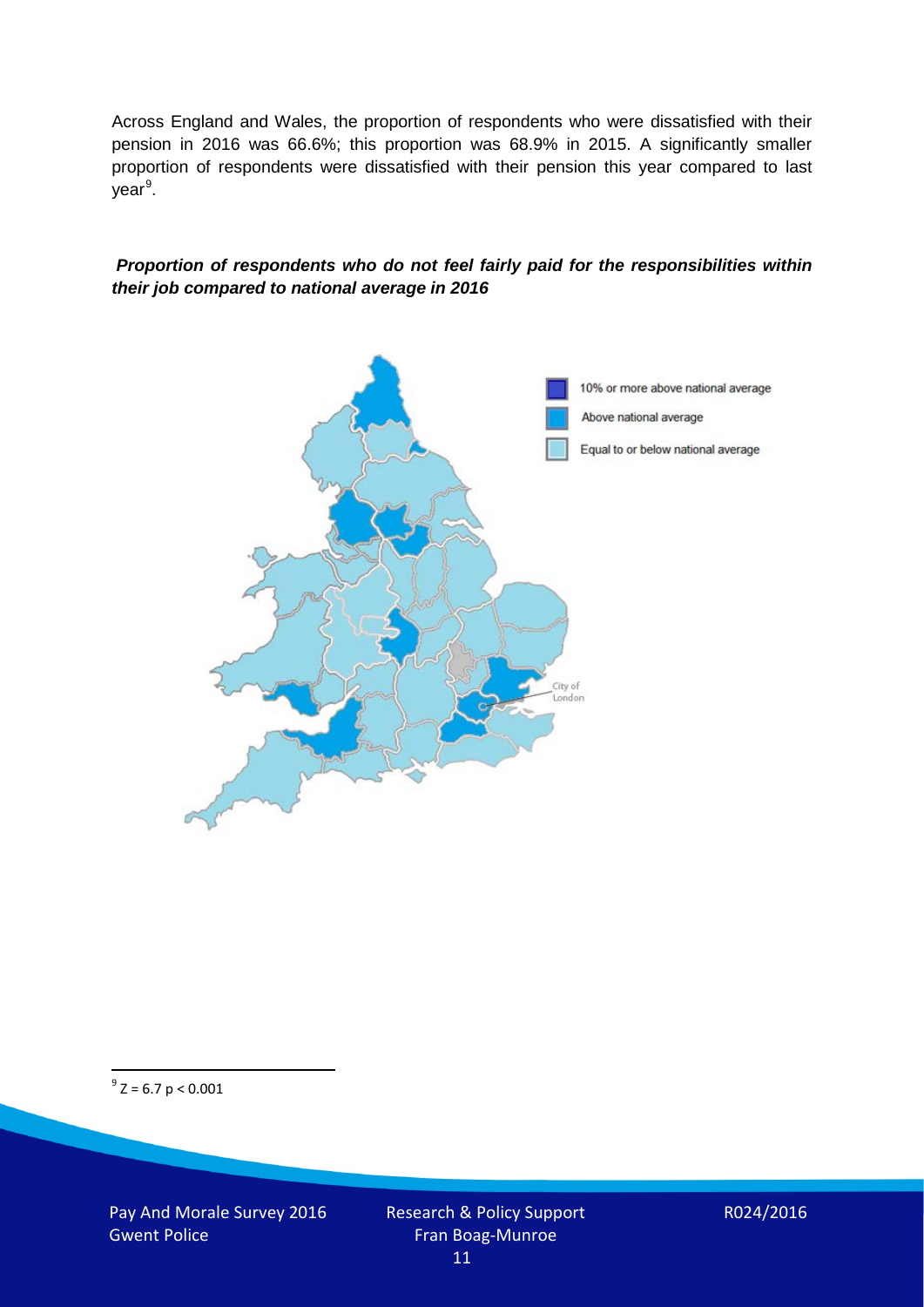Across England and Wales, the proportion of respondents who were dissatisfied with their pension in 2016 was 66.6%; this proportion was 68.9% in 2015. A significantly smaller proportion of respondents were dissatisfied with their pension this year compared to last year<sup>[9](#page-10-0)</sup>.

#### *Proportion of respondents who do not feel fairly paid for the responsibilities within their job compared to national average in 2016*



<span id="page-10-0"></span> $9^9$  Z = 6.7 p < 0.001